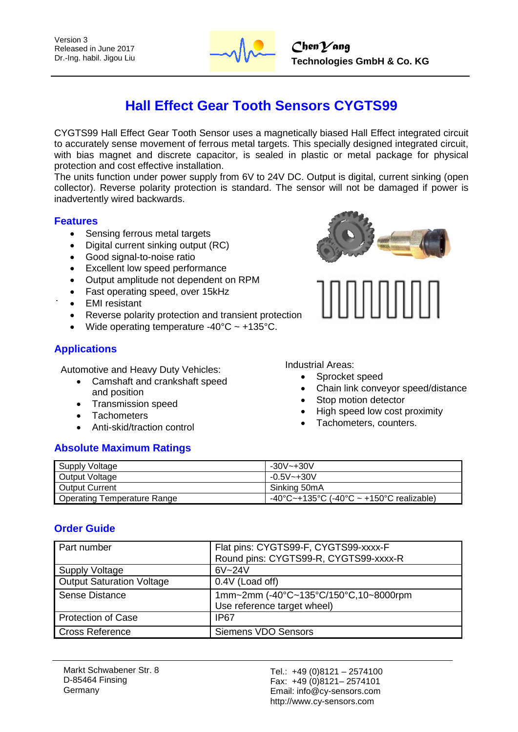

# **Hall Effect Gear Tooth Sensors CYGTS99**

CYGTS99 Hall Effect Gear Tooth Sensor uses a magnetically biased Hall Effect integrated circuit to accurately sense movement of ferrous metal targets. This specially designed integrated circuit, with bias magnet and discrete capacitor, is sealed in plastic or metal package for physical protection and cost effective installation.

The units function under power supply from 6V to 24V DC. Output is digital, current sinking (open collector). Reverse polarity protection is standard. The sensor will not be damaged if power is inadvertently wired backwards.

#### **Features**

- Sensing ferrous metal targets
- Digital current sinking output (RC)
- Good signal-to-noise ratio
- Excellent low speed performance
- Output amplitude not dependent on RPM
- Fast operating speed, over 15kHz
- EMI resistant
- Reverse polarity protection and transient protection
- Wide operating temperature -40 $\degree$ C ~ +135 $\degree$ C.

### **Applications**

Automotive and Heavy Duty Vehicles:

- Camshaft and crankshaft speed and position
- Transmission speed
- Tachometers
- Anti-skid/traction control

### **Absolute Maximum Ratings**





Industrial Areas:

- Sprocket speed
- Chain link conveyor speed/distance
- Stop motion detector
- High speed low cost proximity
- Tachometers, counters.

| Supply Voltage                     | $-30V - +30V$                                                     |
|------------------------------------|-------------------------------------------------------------------|
| Output Voltage                     | $-0.5V - +30V$                                                    |
| Output Current                     | Sinking 50mA                                                      |
| <b>Operating Temperature Range</b> | $-40^{\circ}$ C ~ + 135°C ( $-40^{\circ}$ C ~ + 150°C realizable) |

#### **Order Guide**

| Part number                      | Flat pins: CYGTS99-F, CYGTS99-xxxx-F<br>Round pins: CYGTS99-R, CYGTS99-xxxx-R |
|----------------------------------|-------------------------------------------------------------------------------|
| <b>Supply Voltage</b>            | $6V - 24V$                                                                    |
| <b>Output Saturation Voltage</b> | 0.4V (Load off)                                                               |
| <b>Sense Distance</b>            | 1mm~2mm (-40°C~135°C/150°C,10~8000rpm<br>Use reference target wheel)          |
| <b>Protection of Case</b>        | IP <sub>67</sub>                                                              |
| <b>Cross Reference</b>           | <b>Siemens VDO Sensors</b>                                                    |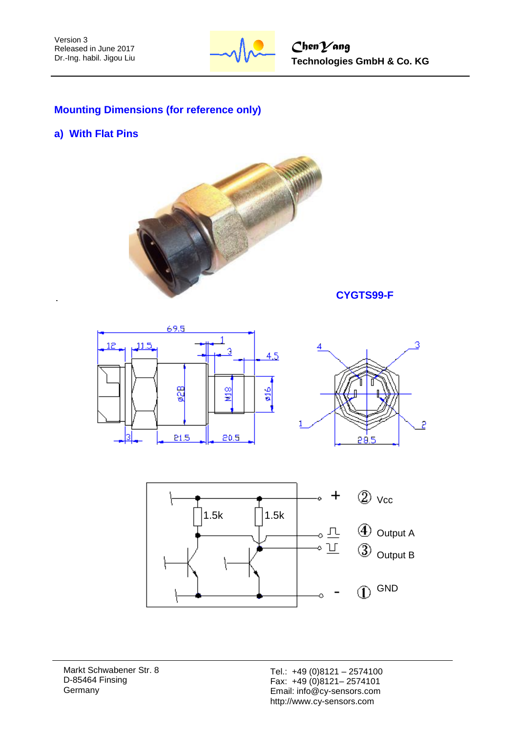

#### **Mounting Dimensions (for reference only)**

#### **a) With Flat Pins**



**CYGTS99-F**







Markt Schwabener Str. 8 D-85464 Finsing **Germany** 

Tel.: +49 (0)8121 – 2574100 Fax: +49 (0)8121– 2574101 Email: info@cy-sensors.com http://www.cy-sensors.com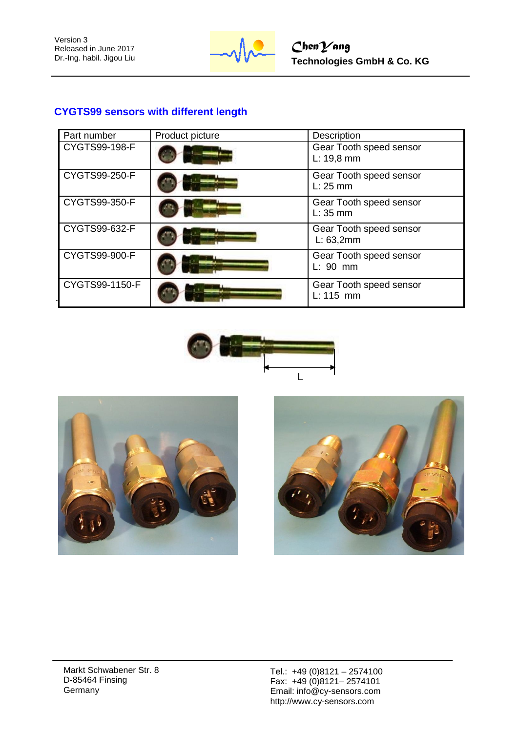

#### **CYGTS99 sensors with different length**

| Part number    | Product picture | <b>Description</b>                       |
|----------------|-----------------|------------------------------------------|
| CYGTS99-198-F  |                 | Gear Tooth speed sensor<br>$L: 19, 8$ mm |
| CYGTS99-250-F  |                 | Gear Tooth speed sensor<br>$L: 25$ mm    |
| CYGTS99-350-F  |                 | Gear Tooth speed sensor<br>$L: 35$ mm    |
| CYGTS99-632-F  |                 | Gear Tooth speed sensor<br>L: 63, 2mm    |
| CYGTS99-900-F  |                 | Gear Tooth speed sensor<br>$L: 90$ mm    |
| CYGTS99-1150-F |                 | Gear Tooth speed sensor<br>$L: 115$ mm   |





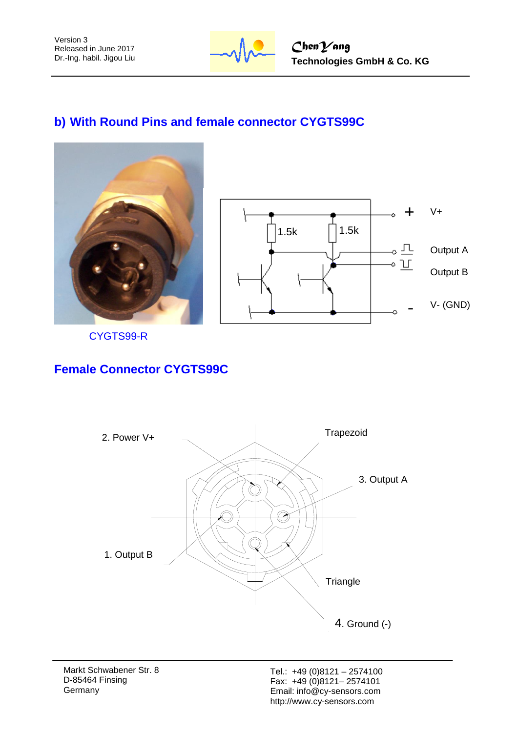Version 3 Released in June 2017 Dr.-Ing. habil. Jigou Liu



## **b) With Round Pins and female connector CYGTS99C**





CYGTS99-R

# **Female Connector CYGTS99C**